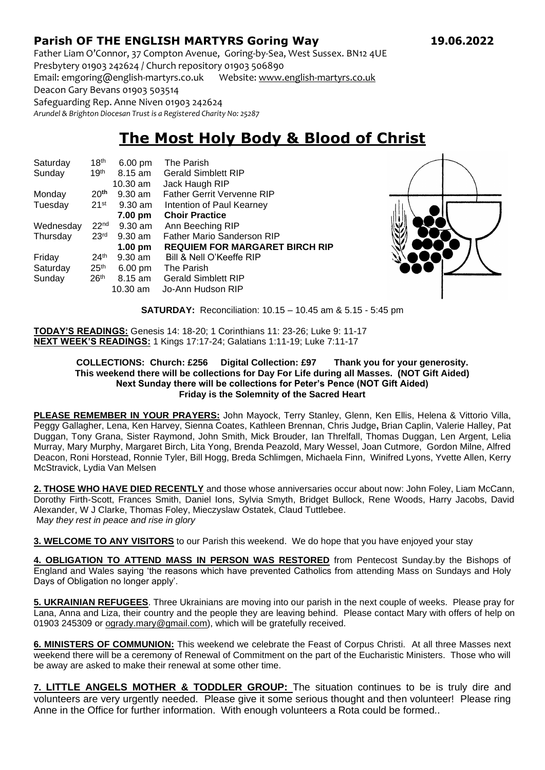# **Parish OF THE ENGLISH MARTYRS Goring Way 19.06.2022**

Father Liam O'Connor, 37 Compton Avenue, Goring-by-Sea, West Sussex. BN12 4UE Presbytery 01903 242624 / Church repository 01903 506890

Email: emgoring@english-martyrs.co.uk Website[: www.english-martyrs.co.uk](http://www.english-martyrs.co.uk/) 

Deacon Gary Bevans 01903 503514

Safeguarding Rep. Anne Niven 01903 242624

*Arundel & Brighton Diocesan Trust is a Registered Charity No: 25287*

# **The Most Holy Body & Blood of Christ**

| Saturday  | 18 <sup>th</sup>   | 6.00 pm           | The Parish                            |
|-----------|--------------------|-------------------|---------------------------------------|
| Sunday    | 19 <sup>th</sup>   | $8.15$ am         | <b>Gerald Simblett RIP</b>            |
|           |                    | $10.30$ am        | Jack Haugh RIP                        |
| Monday    | 20 <sup>th</sup>   | $9.30$ am         | <b>Father Gerrit Vervenne RIP</b>     |
| Tuesday   | $21$ <sup>st</sup> | $9.30$ am         | Intention of Paul Kearney             |
|           |                    | 7.00 pm           | <b>Choir Practice</b>                 |
| Wednesday | 22 <sup>nd</sup>   | $9.30$ am         | Ann Beeching RIP                      |
| Thursday  | 23 <sup>rd</sup>   | $9.30$ am         | <b>Father Mario Sanderson RIP</b>     |
|           |                    | $1.00 \text{ pm}$ | <b>REQUIEM FOR MARGARET BIRCH RIP</b> |
| Friday    | 24 <sup>th</sup>   | $9.30$ am         | Bill & Nell O'Keeffe RIP              |
| Saturday  | 25 <sup>th</sup>   | $6.00 \text{ pm}$ | The Parish                            |
| Sunday    | 26 <sup>th</sup>   | $8.15$ am         | <b>Gerald Simblett RIP</b>            |
|           |                    | 10.30 am          | Jo-Ann Hudson RIP                     |



**SATURDAY:** Reconciliation: 10.15 – 10.45 am & 5.15 - 5:45 pm

**TODAY'S READINGS:** Genesis 14: 18-20; 1 Corinthians 11: 23-26; Luke 9: 11-17 **NEXT WEEK'S READINGS:** 1 Kings 17:17-24; Galatians 1:11-19; Luke 7:11-17

#### **COLLECTIONS: Church: £256 Digital Collection: £97 Thank you for your generosity. This weekend there will be collections for Day For Life during all Masses. (NOT Gift Aided) Next Sunday there will be collections for Peter's Pence (NOT Gift Aided) Friday is the Solemnity of the Sacred Heart**

**PLEASE REMEMBER IN YOUR PRAYERS:** John Mayock, Terry Stanley, Glenn, Ken Ellis, Helena & Vittorio Villa, Peggy Gallagher, Lena, Ken Harvey, Sienna Coates, Kathleen Brennan, Chris Judge**,** Brian Caplin, Valerie Halley, Pat Duggan, Tony Grana, Sister Raymond, John Smith, Mick Brouder, Ian Threlfall, Thomas Duggan, Len Argent, Lelia Murray, Mary Murphy, Margaret Birch, Lita Yong, Brenda Peazold, Mary Wessel, Joan Cutmore, Gordon Milne, Alfred Deacon, Roni Horstead, Ronnie Tyler, Bill Hogg, Breda Schlimgen, Michaela Finn, Winifred Lyons, Yvette Allen, Kerry McStravick, Lydia Van Melsen

**2. THOSE WHO HAVE DIED RECENTLY** and those whose anniversaries occur about now: John Foley, Liam McCann, Dorothy Firth-Scott, Frances Smith, Daniel Ions, Sylvia Smyth, Bridget Bullock, Rene Woods, Harry Jacobs, David Alexander, W J Clarke, Thomas Foley, Mieczyslaw Ostatek, Claud Tuttlebee. M*ay they rest in peace and rise in glory*

**3. WELCOME TO ANY VISITORS** to our Parish this weekend. We do hope that you have enjoyed your stay

**4. OBLIGATION TO ATTEND MASS IN PERSON WAS RESTORED** from Pentecost Sunday.by the Bishops of England and Wales saying 'the reasons which have prevented Catholics from attending Mass on Sundays and Holy Days of Obligation no longer apply'.

**5. UKRAINIAN REFUGEES**. Three Ukrainians are moving into our parish in the next couple of weeks. Please pray for Lana, Anna and Liza, their country and the people they are leaving behind. Please contact Mary with offers of help on 01903 245309 or [ogrady.mary@gmail.com\)](mailto:ogrady.mary@gmail.com), which will be gratefully received.

**6. MINISTERS OF COMMUNION:** This weekend we celebrate the Feast of Corpus Christi. At all three Masses next weekend there will be a ceremony of Renewal of Commitment on the part of the Eucharistic Ministers. Those who will be away are asked to make their renewal at some other time.

**7. LITTLE ANGELS MOTHER & TODDLER GROUP:** The situation continues to be is truly dire and volunteers are very urgently needed. Please give it some serious thought and then volunteer! Please ring Anne in the Office for further information. With enough volunteers a Rota could be formed..